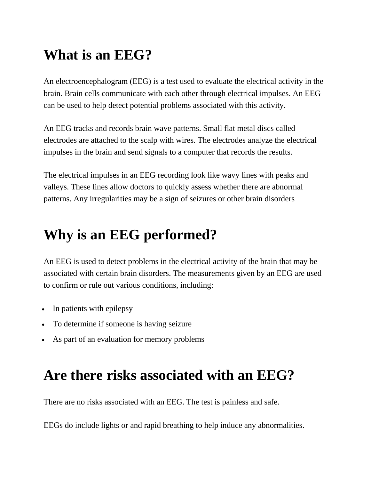## **What is an EEG?**

An electroencephalogram (EEG) is a test used to evaluate the electrical activity in the brain. Brain cells communicate with each other through electrical impulses. An EEG can be used to help detect potential problems associated with this activity.

An EEG tracks and records brain wave patterns. Small flat metal discs called electrodes are attached to the scalp with wires. The electrodes analyze the electrical impulses in the brain and send signals to a computer that records the results.

The electrical impulses in an EEG recording look like wavy lines with peaks and valleys. These lines allow doctors to quickly assess whether there are abnormal patterns. Any irregularities may be a sign of seizures or other brain disorders

## **Why is an EEG performed?**

An EEG is used to detect problems in the electrical activity of the brain that may be associated with certain brain disorders. The measurements given by an EEG are used to confirm or rule out various conditions, including:

- In patients with epilepsy
- To determine if someone is having seizure
- As part of an evaluation for memory problems

## **Are there risks associated with an EEG?**

There are no risks associated with an EEG. The test is painless and safe.

EEGs do include lights or and rapid breathing to help induce any abnormalities.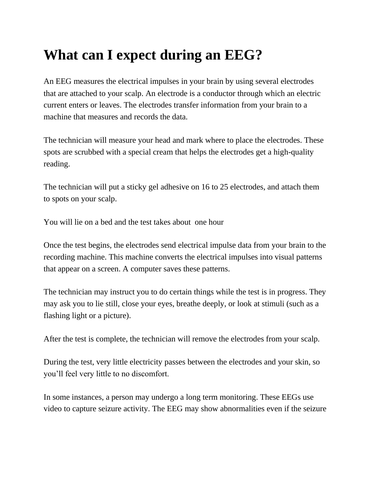## **What can I expect during an EEG?**

An EEG measures the electrical impulses in your brain by using several electrodes that are attached to your scalp. An electrode is a conductor through which an electric current enters or leaves. The electrodes transfer information from your brain to a machine that measures and records the data.

The technician will measure your head and mark where to place the electrodes. These spots are scrubbed with a special cream that helps the electrodes get a high-quality reading.

The technician will put a sticky gel adhesive on 16 to 25 electrodes, and attach them to spots on your scalp.

You will lie on a bed and the test takes about one hour

Once the test begins, the electrodes send electrical impulse data from your brain to the recording machine. This machine converts the electrical impulses into visual patterns that appear on a screen. A computer saves these patterns.

The technician may instruct you to do certain things while the test is in progress. They may ask you to lie still, close your eyes, breathe deeply, or look at stimuli (such as a flashing light or a picture).

After the test is complete, the technician will remove the electrodes from your scalp.

During the test, very little electricity passes between the electrodes and your skin, so you'll feel very little to no discomfort.

In some instances, a person may undergo a long term monitoring. These EEGs use video to capture seizure activity. The EEG may show abnormalities even if the seizure